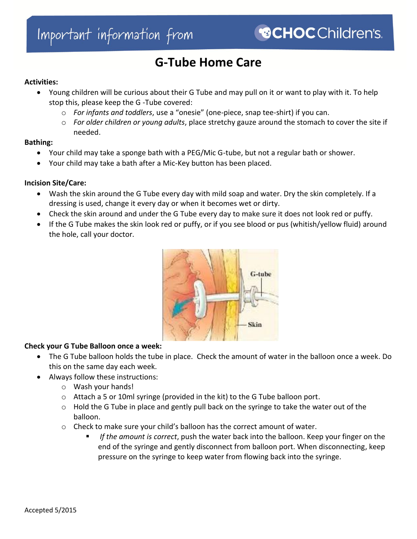# **G-Tube Home Care**

#### **Activities:**

- Young children will be curious about their G Tube and may pull on it or want to play with it. To help stop this, please keep the G -Tube covered:
	- o *For infants and toddlers*, use a "onesie" (one-piece, snap tee-shirt) if you can.
	- o *For older children or young adults*, place stretchy gauze around the stomach to cover the site if needed.

#### **Bathing:**

- Your child may take a sponge bath with a PEG/Mic G-tube, but not a regular bath or shower.
- Your child may take a bath after a Mic-Key button has been placed.

## **Incision Site/Care:**

- Wash the skin around the G Tube every day with mild soap and water. Dry the skin completely. If a dressing is used, change it every day or when it becomes wet or dirty.
- Check the skin around and under the G Tube every day to make sure it does not look red or puffy.
- If the G Tube makes the skin look red or puffy, or if you see blood or pus (whitish/yellow fluid) around the hole, call your doctor.



## **Check your G Tube Balloon once a week:**

- The G Tube balloon holds the tube in place. Check the amount of water in the balloon once a week. Do this on the same day each week.
- Always follow these instructions:
	- o Wash your hands!
	- $\circ$  Attach a 5 or 10ml syringe (provided in the kit) to the G Tube balloon port.
	- $\circ$  Hold the G Tube in place and gently pull back on the syringe to take the water out of the balloon.
	- o Check to make sure your child's balloon has the correct amount of water.
		- *If the amount is correct*, push the water back into the balloon. Keep your finger on the end of the syringe and gently disconnect from balloon port. When disconnecting, keep pressure on the syringe to keep water from flowing back into the syringe.